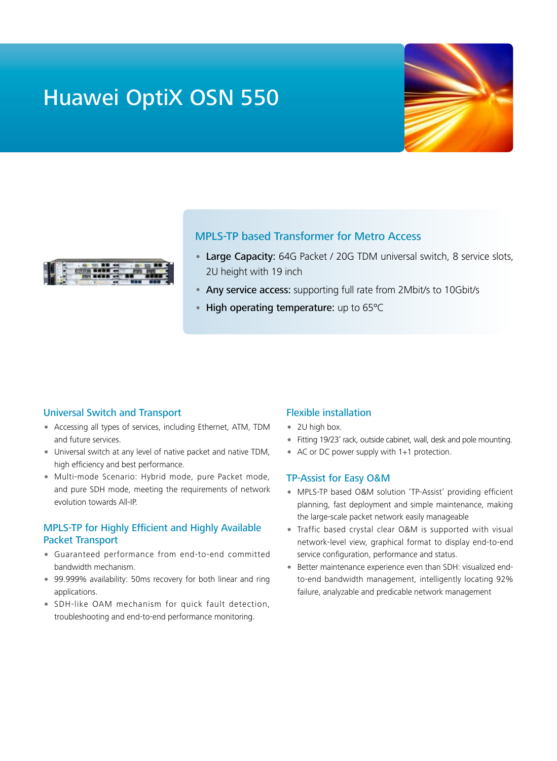# Huawei OptiX OSN 550





# MPLS-TP based Transformer for Metro Access

- Large Capacity: 64G Packet / 20G TDM universal switch, 8 service slots, 2U height with 19 inch
- Any service access: supporting full rate from 2Mbit/s to 10Gbit/s
- High operating temperature: up to 65°C

### Universal Switch and Transport

- Accessing all types of services, including Ethernet, ATM, TDM and future services.
- Universal switch at any level of native packet and native TDM, high efficiency and best performance.
- Multi-mode Scenario: Hybrid mode, pure Packet mode, and pure SDH mode, meeting the requirements of network evolution towards All-IP.

## MPLS-TP for Highly Efficient and Highly Available Packet Transport

- Guaranteed performance from end-to-end committed bandwidth mechanism.
- 99.999% availability: 50ms recovery for both linear and ring applications.
- SDH-like OAM mechanism for quick fault detection, troubleshooting and end-to-end performance monitoring.

#### Flexible installation

- 2U high box.
- Fitting 19/23' rack, outside cabinet, wall, desk and pole mounting.
- AC or DC power supply with 1+1 protection.

#### TP-Assist for Easy O&M

- MPLS-TP based O&M solution 'TP-Assist' providing efficient planning, fast deployment and simple maintenance, making the large-scale packet network easily manageable
- Traffic based crystal clear O&M is supported with visual network-level view, graphical format to display end-to-end service configuration, performance and status.
- Better maintenance experience even than SDH: visualized endto-end bandwidth management, intelligently locating 92% failure, analyzable and predicable network management